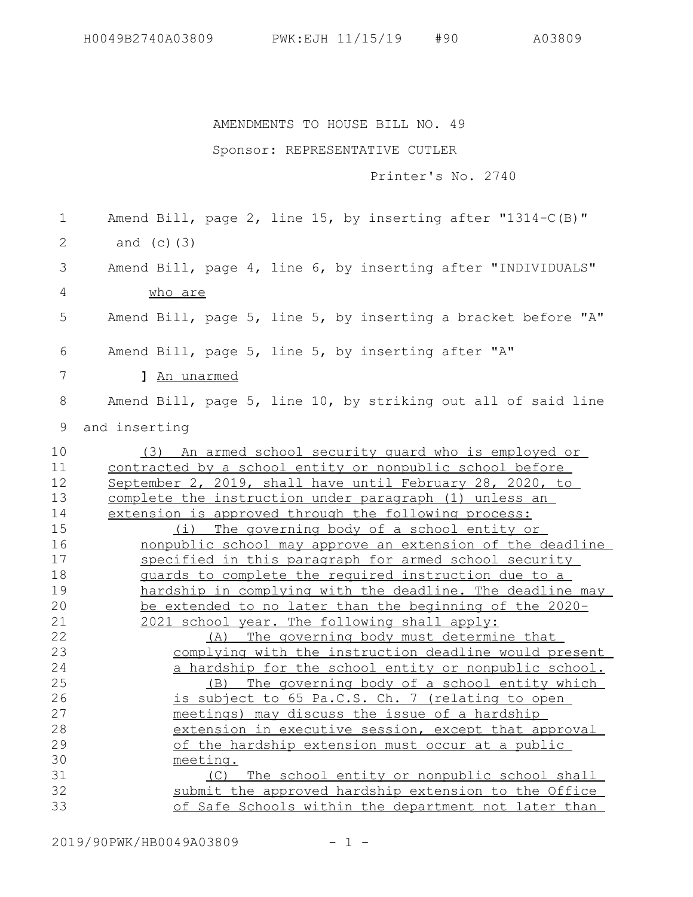## AMENDMENTS TO HOUSE BILL NO. 49

## Sponsor: REPRESENTATIVE CUTLER

Printer's No. 2740

| 1               | Amend Bill, page 2, line 15, by inserting after "1314-C(B)"   |
|-----------------|---------------------------------------------------------------|
| 2               | and $(c)$ $(3)$                                               |
| 3               | Amend Bill, page 4, line 6, by inserting after "INDIVIDUALS"  |
| 4               | who are                                                       |
|                 |                                                               |
| 5               | Amend Bill, page 5, line 5, by inserting a bracket before "A" |
| 6               | Amend Bill, page 5, line 5, by inserting after "A"            |
| $7\phantom{.0}$ | 1 An unarmed                                                  |
| 8               | Amend Bill, page 5, line 10, by striking out all of said line |
| 9               | and inserting                                                 |
| 10              | (3) An armed school security quard who is employed or         |
| 11              | contracted by a school entity or nonpublic school before      |
| 12              | September 2, 2019, shall have until February 28, 2020, to     |
| 13              | complete the instruction under paragraph (1) unless an        |
| 14              | extension is approved through the following process:          |
| 15              | (i) The governing body of a school entity or                  |
| 16              | nonpublic school may approve an extension of the deadline     |
| 17              | specified in this paragraph for armed school security         |
| 18              | guards to complete the required instruction due to a          |
| 19              | hardship in complying with the deadline. The deadline may     |
| 20              | be extended to no later than the beginning of the 2020-       |
| 21              | 2021 school year. The following shall apply:                  |
| 22              | (A) The governing body must determine that                    |
| 23              | complying with the instruction deadline would present         |
| 24              | a hardship for the school entity or nonpublic school.         |
| 25              | (B) The governing body of a school entity which               |
| 26              | is subject to 65 Pa.C.S. Ch. 7 (relating to open              |
| 27              | meetings) may discuss the issue of a hardship                 |
| 28              | extension in executive session, except that approval          |
| 29              | of the hardship extension must occur at a public              |
| 30              | meeting.                                                      |
| 31              | The school entity or nonpublic school shall<br>(C)            |
| 32              | submit the approved hardship extension to the Office          |
| 33              | of Safe Schools within the department not later than          |